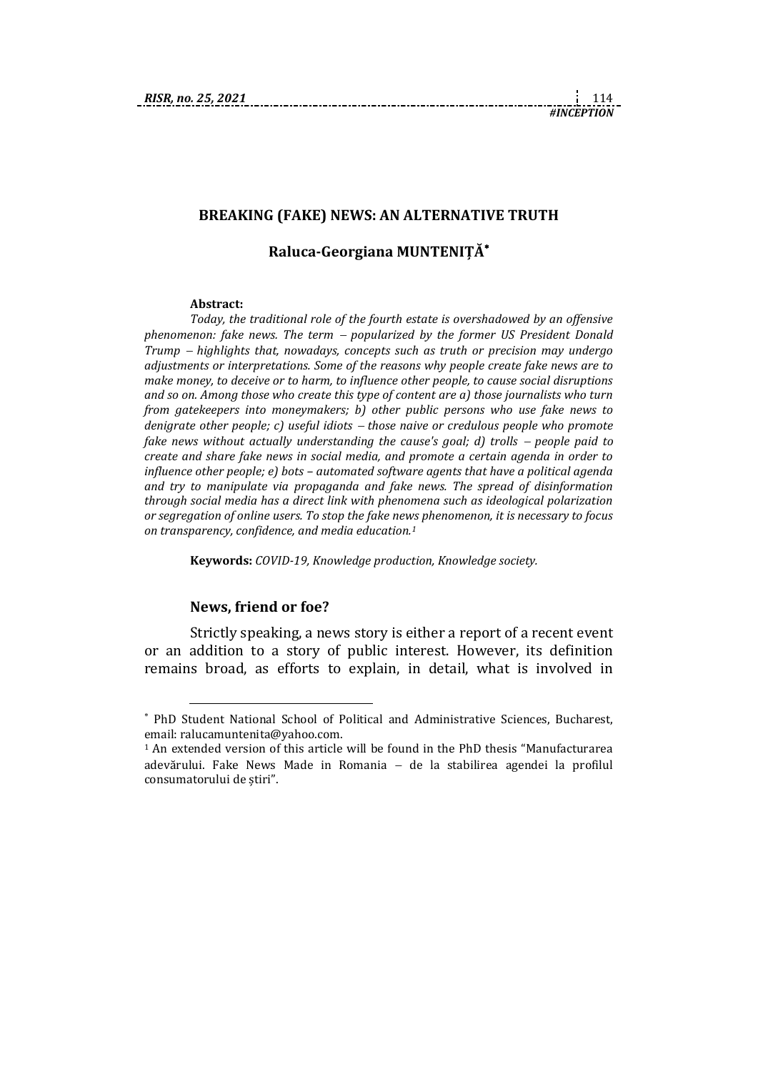# **BREAKING (FAKE) NEWS: AN ALTERNATIVE TRUTH**

## **Raluca-Georgiana MUNTENIȚĂ**

#### **Abstract:**

*Today, the traditional role of the fourth estate is overshadowed by an offensive phenomenon: fake news. The term popularized by the former US President Donald Trump highlights that, nowadays, concepts such as truth or precision may undergo adjustments or interpretations. Some of the reasons why people create fake news are to make money, to deceive or to harm, to influence other people, to cause social disruptions and so on. Among those who create this type of content are a) those journalists who turn from gatekeepers into moneymakers; b) other public persons who use fake news to denigrate other people; c) useful idiots those naive or credulous people who promote fake news without actually understanding the cause's goal; d) trolls – people paid to create and share fake news in social media, and promote a certain agenda in order to influence other people; e) bots – automated software agents that have a political agenda and try to manipulate via propaganda and fake news. The spread of disinformation through social media has a direct link with phenomena such as ideological polarization or segregation of online users. To stop the fake news phenomenon, it is necessary to focus on transparency, confidence, and media education.<sup>1</sup>*

**Keywords:** *COVID-19, Knowledge production, Knowledge society.*

### **News, friend or foe?**

1

Strictly speaking, a news story is either a report of a recent event or an addition to a story of public interest. However, its definition remains broad, as efforts to explain, in detail, what is involved in

PhD Student National School of Political and Administrative Sciences, Bucharest, email: [ralucamuntenita@yahoo.com.](mailto:ralucamuntenita@yahoo.com) 

<sup>1</sup> An extended version of this article will be found in the PhD thesis "Manufacturarea adevărului. Fake News Made in Romania de la stabilirea agendei la profilul consumatorului de știri".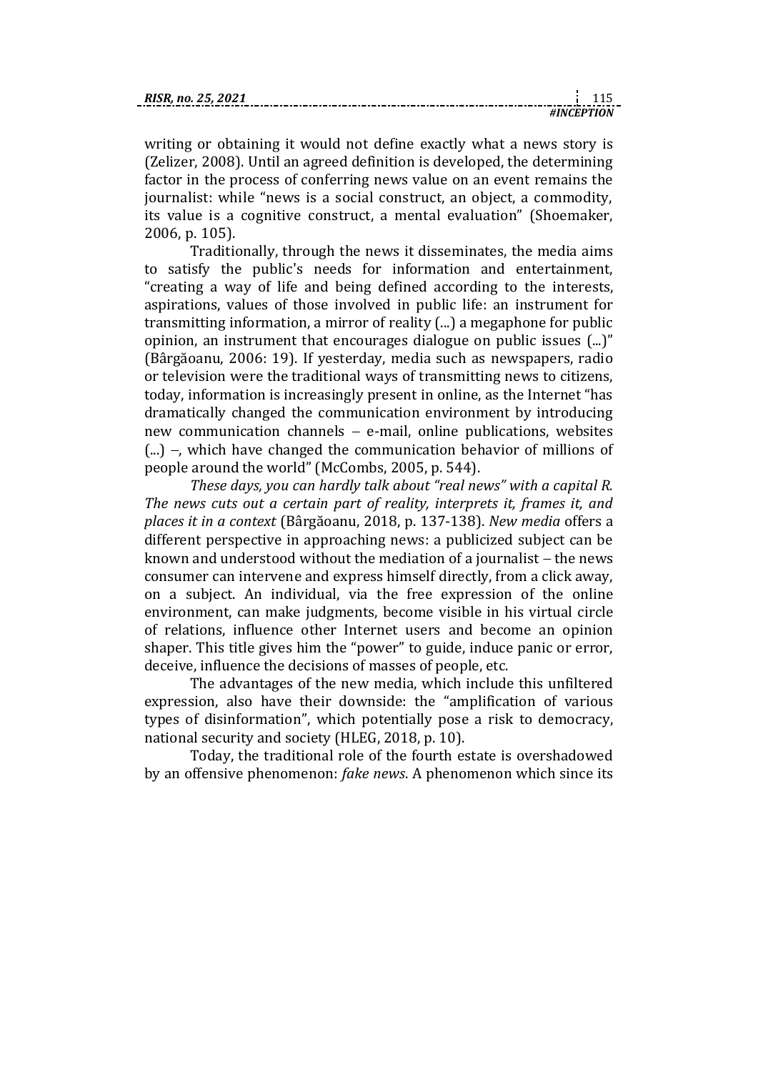| RISR. no. 25, 2021 |  |  |
|--------------------|--|--|
|                    |  |  |

writing or obtaining it would not define exactly what a news story is (Zelizer, 2008). Until an agreed definition is developed, the determining factor in the process of conferring news value on an event remains the journalist: while "news is a social construct, an object, a commodity, its value is a cognitive construct, a mental evaluation" (Shoemaker, 2006, p. 105).

Traditionally, through the news it disseminates, the media aims to satisfy the public's needs for information and entertainment, "creating a way of life and being defined according to the interests, aspirations, values of those involved in public life: an instrument for transmitting information, a mirror of reality (...) a megaphone for public opinion, an instrument that encourages dialogue on public issues (...)" (Bârgăoanu, 2006: 19). If yesterday, media such as newspapers, radio or television were the traditional ways of transmitting news to citizens, today, information is increasingly present in online, as the Internet "has dramatically changed the communication environment by introducing new communication channels  $-$  e-mail, online publications, websites  $(\ldots)$  –, which have changed the communication behavior of millions of people around the world" (McCombs, 2005, p. 544).

*These days, you can hardly talk about "real news" with a capital R. The news cuts out a certain part of reality, interprets it, frames it, and places it in a context* (Bârgăoanu, 2018, p. 137-138). *New media* offers a different perspective in approaching news: a publicized subject can be known and understood without the mediation of a journalist  $-$  the news consumer can intervene and express himself directly, from a click away, on a subject. An individual, via the free expression of the online environment, can make judgments, become visible in his virtual circle of relations, influence other Internet users and become an opinion shaper. This title gives him the "power" to guide, induce panic or error, deceive, influence the decisions of masses of people, etc.

The advantages of the new media, which include this unfiltered expression, also have their downside: the "amplification of various types of disinformation", which potentially pose a risk to democracy, national security and society (HLEG, 2018, p. 10).

Today, the traditional role of the fourth estate is overshadowed by an offensive phenomenon: *fake news*. A phenomenon which since its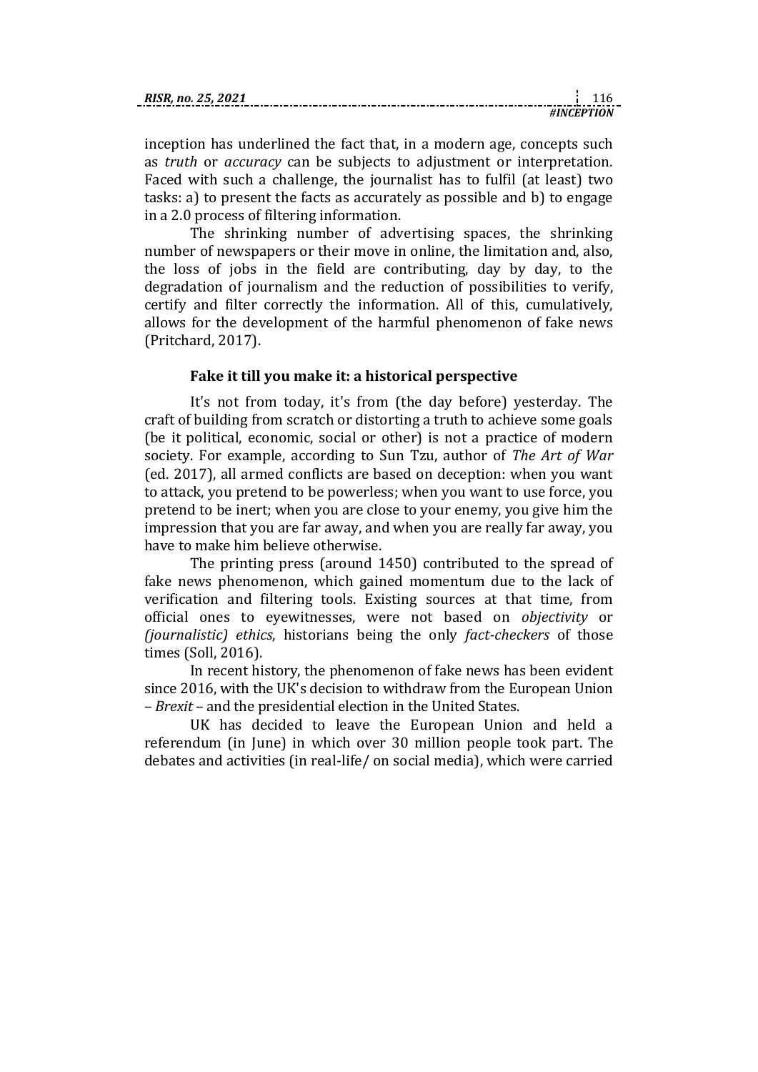| RISR |  |
|------|--|
|      |  |

inception has underlined the fact that, in a modern age, concepts such as *truth* or *accuracy* can be subjects to adjustment or interpretation. Faced with such a challenge, the journalist has to fulfil (at least) two tasks: a) to present the facts as accurately as possible and b) to engage in a 2.0 process of filtering information.

The shrinking number of advertising spaces, the shrinking number of newspapers or their move in online, the limitation and, also, the loss of jobs in the field are contributing, day by day, to the degradation of journalism and the reduction of possibilities to verify, certify and filter correctly the information. All of this, cumulatively, allows for the development of the harmful phenomenon of fake news (Pritchard, 2017).

## **Fake it till you make it: a historical perspective**

It's not from today, it's from (the day before) yesterday. The craft of building from scratch or distorting a truth to achieve some goals (be it political, economic, social or other) is not a practice of modern society. For example, according to Sun Tzu, author of *The Art of War* (ed. 2017), all armed conflicts are based on deception: when you want to attack, you pretend to be powerless; when you want to use force, you pretend to be inert; when you are close to your enemy, you give him the impression that you are far away, and when you are really far away, you have to make him believe otherwise.

The printing press (around 1450) contributed to the spread of fake news phenomenon, which gained momentum due to the lack of verification and filtering tools. Existing sources at that time, from official ones to eyewitnesses, were not based on *objectivity* or *(journalistic) ethics*, historians being the only *fact-checkers* of those times (Soll, 2016).

In recent history, the phenomenon of fake news has been evident since 2016, with the UK's decision to withdraw from the European Union – *Brexit* – and the presidential election in the United States.

UK has decided to leave the European Union and held a referendum (in June) in which over 30 million people took part. The debates and activities (in real-life/ on social media), which were carried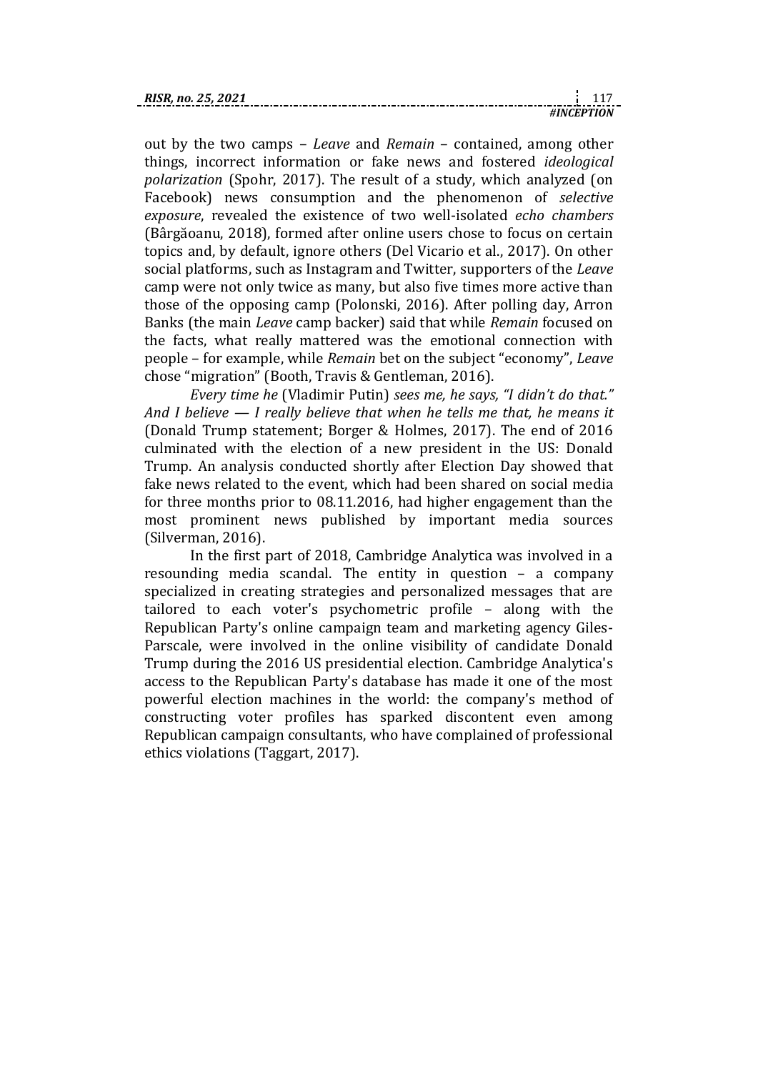out by the two camps – *Leave* and *Remain* – contained, among other things, incorrect information or fake news and fostered *ideological polarization* (Spohr, 2017). The result of a study, which analyzed (on Facebook) news consumption and the phenomenon of *selective exposure*, revealed the existence of two well-isolated *echo chambers* (Bârgăoanu, 2018), formed after online users chose to focus on certain topics and, by default, ignore others (Del Vicario et al., 2017). On other social platforms, such as Instagram and Twitter, supporters of the *Leave* camp were not only twice as many, but also five times more active than those of the opposing camp (Polonski, 2016). After polling day, Arron Banks (the main *Leave* camp backer) said that while *Remain* focused on the facts, what really mattered was the emotional connection with people – for example, while *Remain* bet on the subject "economy", *Leave* chose "migration" (Booth, Travis & Gentleman, 2016).

*Every time he* (Vladimir Putin) *sees me, he says, "I didn't do that." And I believe — I really believe that when he tells me that, he means it* (Donald Trump statement; Borger & Holmes, 2017). The end of 2016 culminated with the election of a new president in the US: Donald Trump. An analysis conducted shortly after Election Day showed that fake news related to the event, which had been shared on social media for three months prior to 08.11.2016, had higher engagement than the most prominent news published by important media sources (Silverman, 2016).

In the first part of 2018, Cambridge Analytica was involved in a resounding media scandal. The entity in question – a company specialized in creating strategies and personalized messages that are tailored to each voter's psychometric profile – along with the Republican Party's online campaign team and marketing agency Giles-Parscale, were involved in the online visibility of candidate Donald Trump during the 2016 US presidential election. Cambridge Analytica's access to the Republican Party's database has made it one of the most powerful election machines in the world: the company's method of constructing voter profiles has sparked discontent even among Republican campaign consultants, who have complained of professional ethics violations (Taggart, 2017).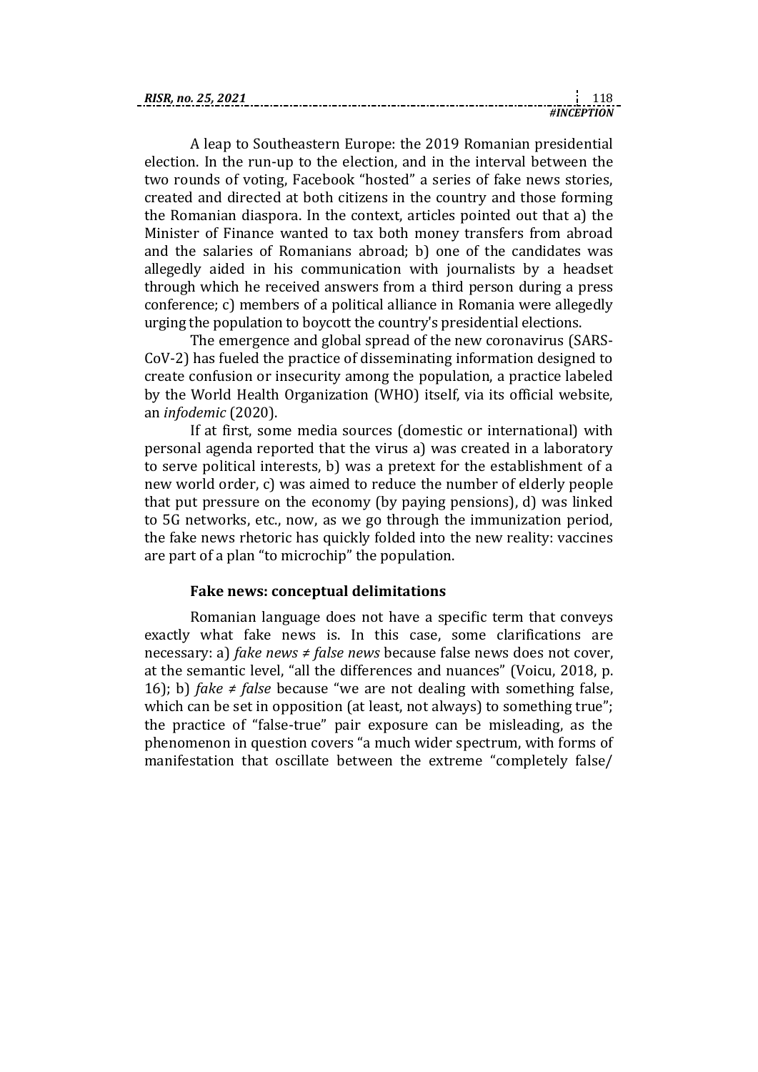| RISR |        |  |
|------|--------|--|
|      | . Ni f |  |

A leap to Southeastern Europe: the 2019 Romanian presidential election. In the run-up to the election, and in the interval between the two rounds of voting, Facebook "hosted" a series of fake news stories, created and directed at both citizens in the country and those forming the Romanian diaspora. In the context, articles pointed out that a) the Minister of Finance wanted to tax both money transfers from abroad and the salaries of Romanians abroad; b) one of the candidates was allegedly aided in his communication with journalists by a headset through which he received answers from a third person during a press conference; c) members of a political alliance in Romania were allegedly urging the population to boycott the country's presidential elections.

The emergence and global spread of the new coronavirus (SARS-CoV-2) has fueled the practice of disseminating information designed to create confusion or insecurity among the population, a practice labeled by the World Health Organization (WHO) itself, via its official website, an *infodemic* (2020).

If at first, some media sources (domestic or international) with personal agenda reported that the virus a) was created in a laboratory to serve political interests, b) was a pretext for the establishment of a new world order, c) was aimed to reduce the number of elderly people that put pressure on the economy (by paying pensions), d) was linked to 5G networks, etc., now, as we go through the immunization period, the fake news rhetoric has quickly folded into the new reality: vaccines are part of a plan "to microchip" the population.

## **Fake news: conceptual delimitations**

Romanian language does not have a specific term that conveys exactly what fake news is. In this case, some clarifications are necessary: a) *fake news ≠ false news* because false news does not cover, at the semantic level, "all the differences and nuances" (Voicu, 2018, p. 16); b) *fake ≠ false* because "we are not dealing with something false, which can be set in opposition (at least, not always) to something true"; the practice of "false-true" pair exposure can be misleading, as the phenomenon in question covers "a much wider spectrum, with forms of manifestation that oscillate between the extreme "completely false/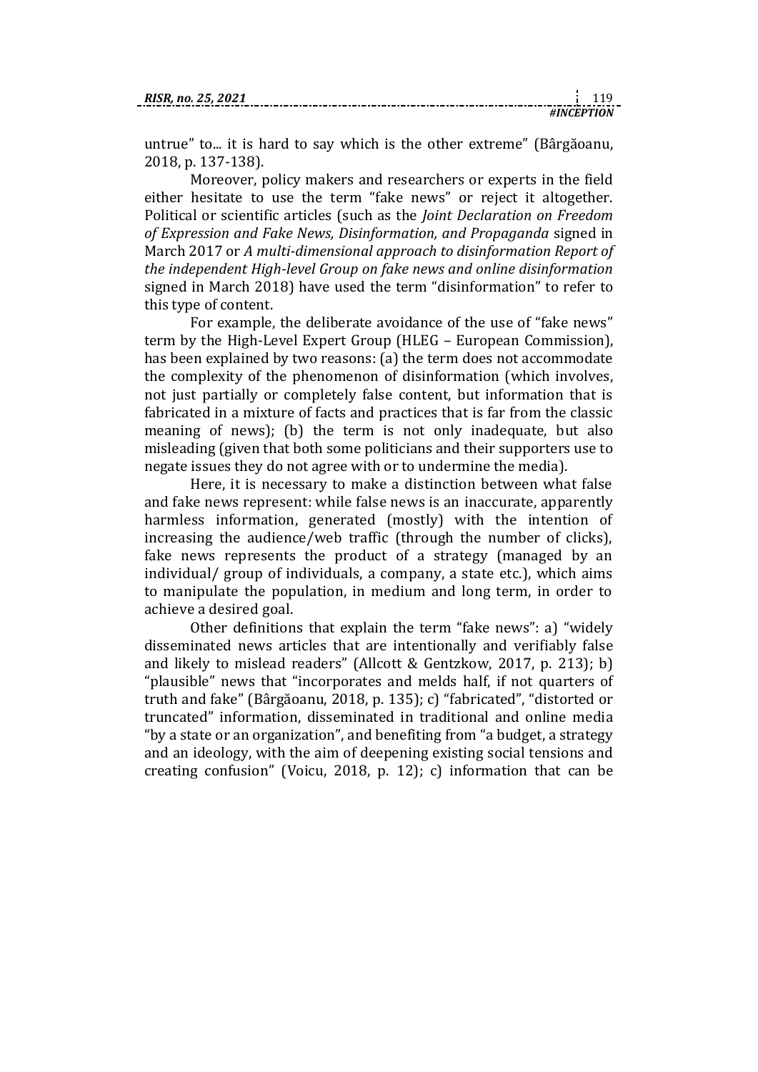| RISR. no. 25, 2021 |  |  |
|--------------------|--|--|
|                    |  |  |

untrue" to... it is hard to say which is the other extreme" (Bârgăoanu, 2018, p. 137-138).

Moreover, policy makers and researchers or experts in the field either hesitate to use the term "fake news" or reject it altogether. Political or scientific articles (such as the *Joint Declaration on Freedom of Expression and Fake News, Disinformation, and Propaganda* signed in March 2017 or *A multi-dimensional approach to disinformation Report of the independent High-level Group on fake news and online disinformation* signed in March 2018) have used the term "disinformation" to refer to this type of content.

For example, the deliberate avoidance of the use of "fake news" term by the High-Level Expert Group (HLEG – European Commission), has been explained by two reasons: (a) the term does not accommodate the complexity of the phenomenon of disinformation (which involves, not just partially or completely false content, but information that is fabricated in a mixture of facts and practices that is far from the classic meaning of news); (b) the term is not only inadequate, but also misleading (given that both some politicians and their supporters use to negate issues they do not agree with or to undermine the media).

Here, it is necessary to make a distinction between what false and fake news represent: while false news is an inaccurate, apparently harmless information, generated (mostly) with the intention of increasing the audience/web traffic (through the number of clicks), fake news represents the product of a strategy (managed by an individual/ group of individuals, a company, a state etc.), which aims to manipulate the population, in medium and long term, in order to achieve a desired goal.

Other definitions that explain the term "fake news": a) "widely disseminated news articles that are intentionally and verifiably false and likely to mislead readers" (Allcott & Gentzkow, 2017, p. 213); b) "plausible" news that "incorporates and melds half, if not quarters of truth and fake" (Bârgăoanu, 2018, p. 135); c) "fabricated", "distorted or truncated" information, disseminated in traditional and online media "by a state or an organization", and benefiting from "a budget, a strategy and an ideology, with the aim of deepening existing social tensions and creating confusion" (Voicu, 2018, p. 12); c) information that can be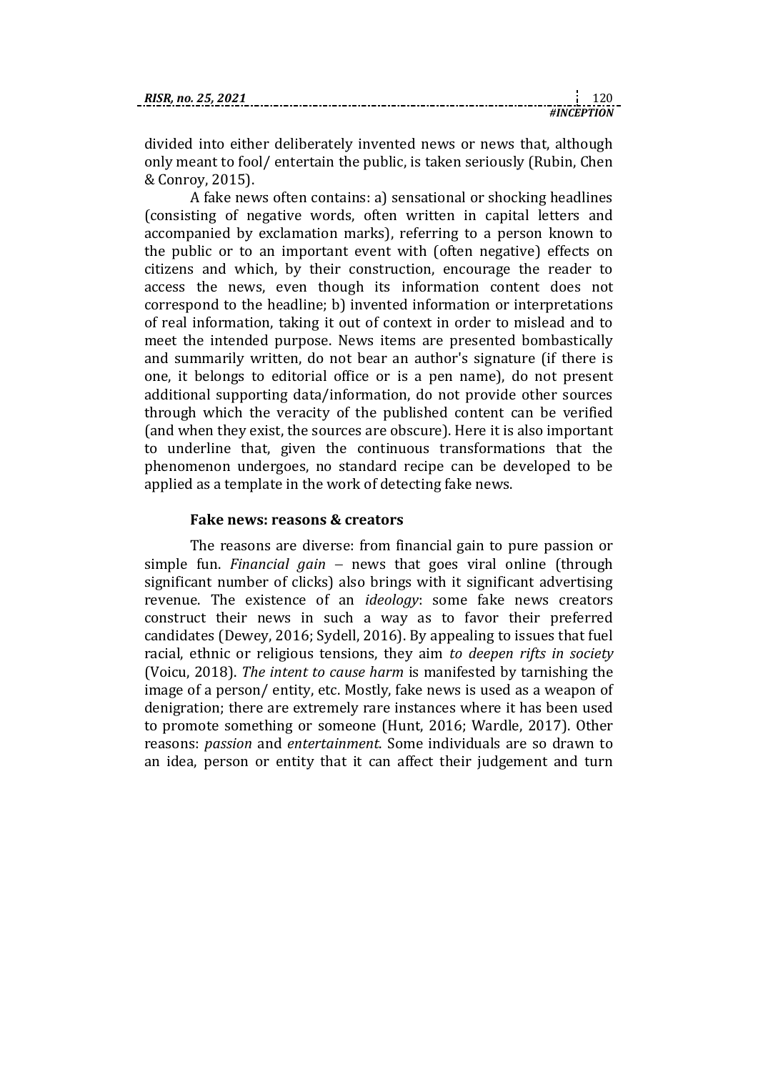divided into either deliberately invented news or news that, although only meant to fool/ entertain the public, is taken seriously (Rubin, Chen & Conroy, 2015).

A fake news often contains: a) sensational or shocking headlines (consisting of negative words, often written in capital letters and accompanied by exclamation marks), referring to a person known to the public or to an important event with (often negative) effects on citizens and which, by their construction, encourage the reader to access the news, even though its information content does not correspond to the headline; b) invented information or interpretations of real information, taking it out of context in order to mislead and to meet the intended purpose. News items are presented bombastically and summarily written, do not bear an author's signature (if there is one, it belongs to editorial office or is a pen name), do not present additional supporting data/information, do not provide other sources through which the veracity of the published content can be verified (and when they exist, the sources are obscure). Here it is also important to underline that, given the continuous transformations that the phenomenon undergoes, no standard recipe can be developed to be applied as a template in the work of detecting fake news.

### **Fake news: reasons & creators**

The reasons are diverse: from financial gain to pure passion or simple fun. *Financial gain* – news that goes viral online (through significant number of clicks) also brings with it significant advertising revenue. The existence of an *ideology*: some fake news creators construct their news in such a way as to favor their preferred candidates (Dewey, 2016; Sydell, 2016). By appealing to issues that fuel racial, ethnic or religious tensions, they aim *to deepen rifts in society* (Voicu, 2018). *The intent to cause harm* is manifested by tarnishing the image of a person/ entity, etc. Mostly, fake news is used as a weapon of denigration; there are extremely rare instances where it has been used to promote something or someone (Hunt, 2016; Wardle, 2017). Other reasons: *passion* and *entertainment*. Some individuals are so drawn to an idea, person or entity that it can affect their judgement and turn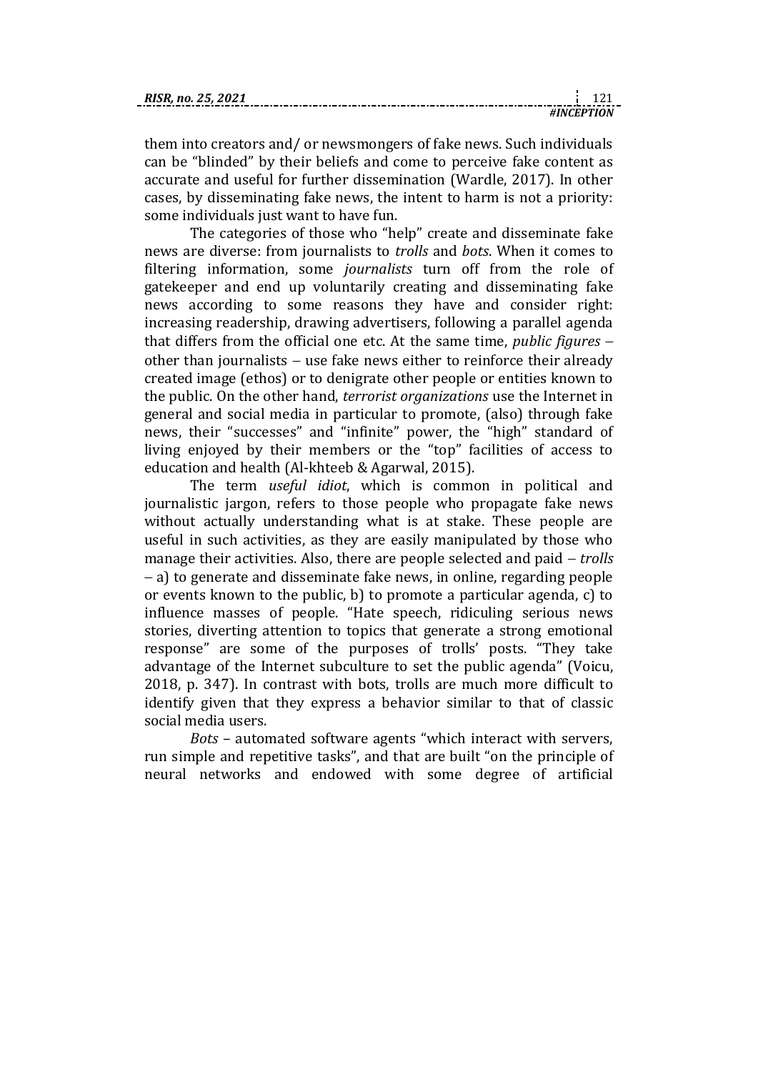them into creators and/ or newsmongers of fake news. Such individuals can be "blinded" by their beliefs and come to perceive fake content as accurate and useful for further dissemination (Wardle, 2017). In other cases, by disseminating fake news, the intent to harm is not a priority: some individuals just want to have fun.

The categories of those who "help" create and disseminate fake news are diverse: from journalists to *trolls* and *bots*. When it comes to filtering information, some *journalists* turn off from the role of gatekeeper and end up voluntarily creating and disseminating fake news according to some reasons they have and consider right: increasing readership, drawing advertisers, following a parallel agenda that differs from the official one etc. At the same time, *public figures* other than journalists  $-$  use fake news either to reinforce their already created image (ethos) or to denigrate other people or entities known to the public. On the other hand, *terrorist organizations* use the Internet in general and social media in particular to promote, (also) through fake news, their "successes" and "infinite" power, the "high" standard of living enjoyed by their members or the "top" facilities of access to education and health (Al-khteeb & Agarwal, 2015).

The term *useful idiot*, which is common in political and journalistic jargon, refers to those people who propagate fake news without actually understanding what is at stake. These people are useful in such activities, as they are easily manipulated by those who manage their activities. Also, there are people selected and paid – *trolls*  a) to generate and disseminate fake news, in online, regarding people or events known to the public, b) to promote a particular agenda, c) to influence masses of people. "Hate speech, ridiculing serious news stories, diverting attention to topics that generate a strong emotional response" are some of the purposes of trolls' posts. "They take advantage of the Internet subculture to set the public agenda" (Voicu, 2018, p. 347). In contrast with bots, trolls are much more difficult to identify given that they express a behavior similar to that of classic social media users.

*Bots* – automated software agents "which interact with servers, run simple and repetitive tasks", and that are built "on the principle of neural networks and endowed with some degree of artificial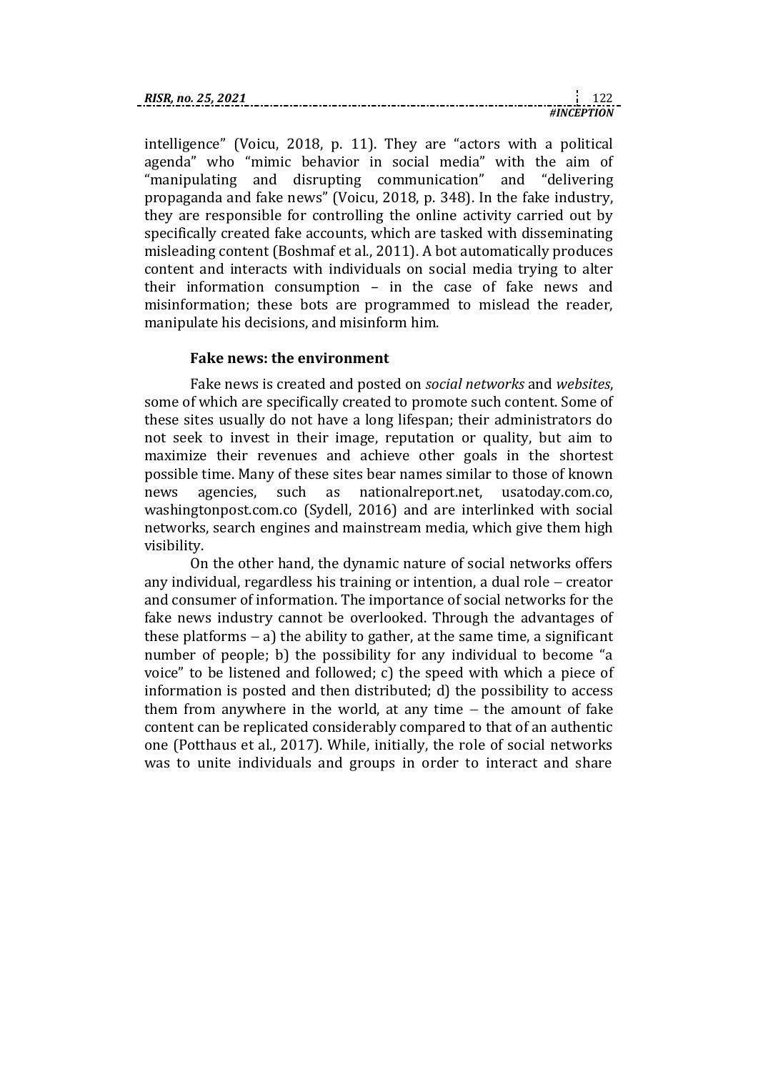| RISR. no. 25. 2021 |  |  |
|--------------------|--|--|
|                    |  |  |

intelligence" (Voicu, 2018, p. 11). They are "actors with a political agenda" who "mimic behavior in social media" with the aim of "manipulating and disrupting communication" and "delivering propaganda and fake news" (Voicu, 2018, p. 348). In the fake industry, they are responsible for controlling the online activity carried out by specifically created fake accounts, which are tasked with disseminating misleading content (Boshmaf et al., 2011). A bot automatically produces content and interacts with individuals on social media trying to alter their information consumption – in the case of fake news and misinformation; these bots are programmed to mislead the reader, manipulate his decisions, and misinform him.

*#INCEPTION*

## **Fake news: the environment**

Fake news is created and posted on *social networks* and *websites*, some of which are specifically created to promote such content. Some of these sites usually do not have a long lifespan; their administrators do not seek to invest in their image, reputation or quality, but aim to maximize their revenues and achieve other goals in the shortest possible time. Many of these sites bear names similar to those of known news agencies, such as nationalreport.net, usatoday.com.co, washingtonpost.com.co (Sydell, 2016) and are interlinked with social networks, search engines and mainstream media, which give them high visibility.

On the other hand, the dynamic nature of social networks offers any individual, regardless his training or intention, a dual role  $-$  creator and consumer of information. The importance of social networks for the fake news industry cannot be overlooked. Through the advantages of these platforms  $-$  a) the ability to gather, at the same time, a significant number of people; b) the possibility for any individual to become "a voice" to be listened and followed; c) the speed with which a piece of information is posted and then distributed; d) the possibility to access them from anywhere in the world, at any time  $-$  the amount of fake content can be replicated considerably compared to that of an authentic one (Potthaus et al., 2017). While, initially, the role of social networks was to unite individuals and groups in order to interact and share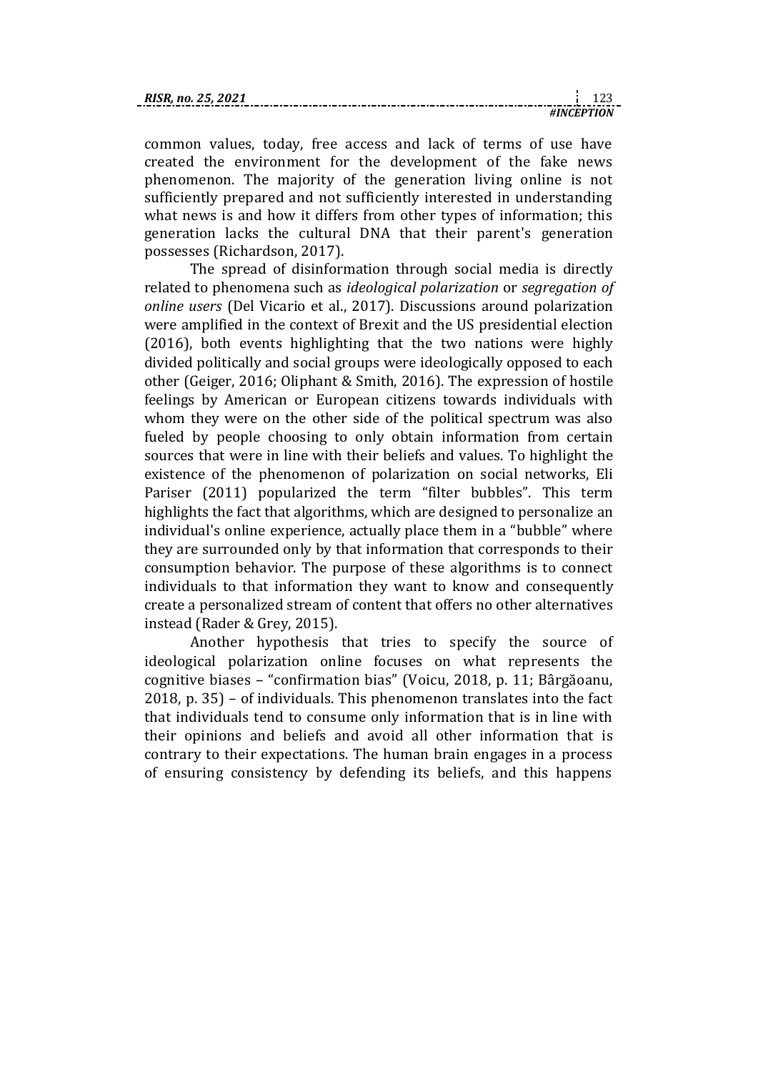| no.<br>KIJK. |  |  |
|--------------|--|--|
|              |  |  |

common values, today, free access and lack of terms of use have created the environment for the development of the fake news phenomenon. The majority of the generation living online is not sufficiently prepared and not sufficiently interested in understanding what news is and how it differs from other types of information; this generation lacks the cultural DNA that their parent's generation possesses (Richardson, 2017).

The spread of disinformation through social media is directly related to phenomena such as *ideological polarization* or *segregation of online users* (Del Vicario et al., 2017). Discussions around polarization were amplified in the context of Brexit and the US presidential election (2016), both events highlighting that the two nations were highly divided politically and social groups were ideologically opposed to each other (Geiger, 2016; Oliphant & Smith, 2016). The expression of hostile feelings by American or European citizens towards individuals with whom they were on the other side of the political spectrum was also fueled by people choosing to only obtain information from certain sources that were in line with their beliefs and values. To highlight the existence of the phenomenon of polarization on social networks, Eli Pariser (2011) popularized the term "filter bubbles". This term highlights the fact that algorithms, which are designed to personalize an individual's online experience, actually place them in a "bubble" where they are surrounded only by that information that corresponds to their consumption behavior. The purpose of these algorithms is to connect individuals to that information they want to know and consequently create a personalized stream of content that offers no other alternatives instead (Rader & Grey, 2015).

Another hypothesis that tries to specify the source of ideological polarization online focuses on what represents the cognitive biases – "confirmation bias" (Voicu, 2018, p. 11; Bârgăoanu, 2018, p. 35) – of individuals. This phenomenon translates into the fact that individuals tend to consume only information that is in line with their opinions and beliefs and avoid all other information that is contrary to their expectations. The human brain engages in a process of ensuring consistency by defending its beliefs, and this happens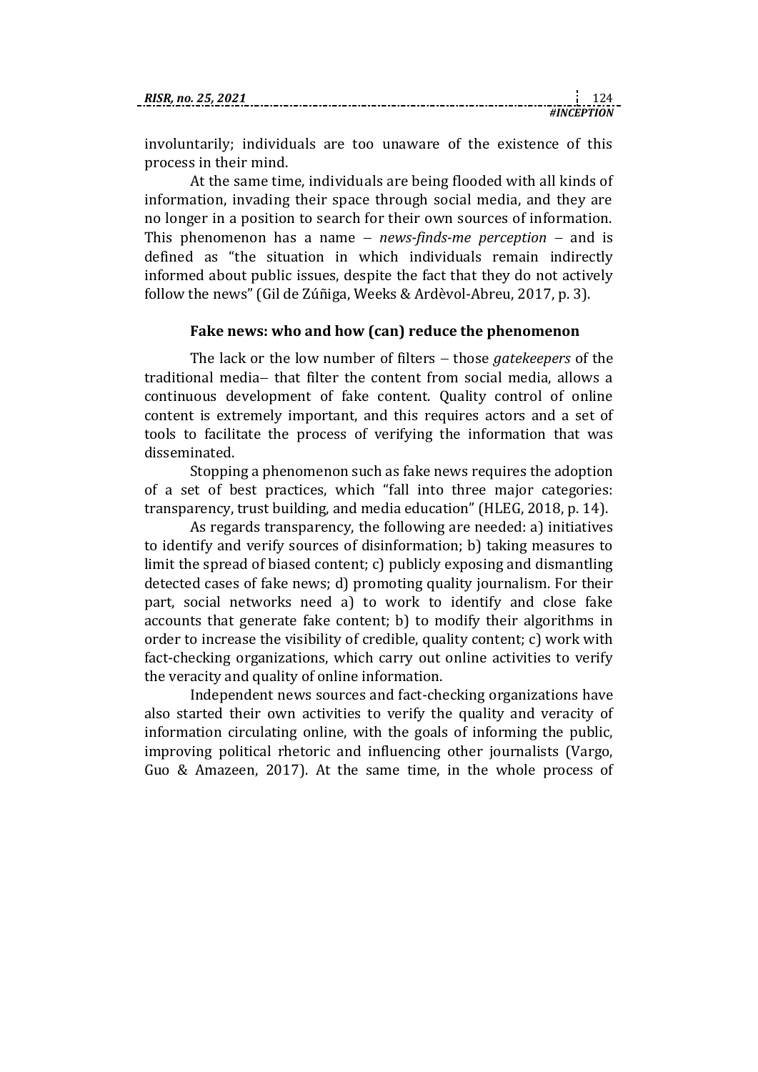| RISR. no. 25. 2021 |  |  |
|--------------------|--|--|
|                    |  |  |

involuntarily; individuals are too unaware of the existence of this process in their mind.

At the same time, individuals are being flooded with all kinds of information, invading their space through social media, and they are no longer in a position to search for their own sources of information. This phenomenon has a name  $-$  *news-finds-me perception*  $-$  and is defined as "the situation in which individuals remain indirectly informed about public issues, despite the fact that they do not actively follow the news" (Gil de Zúñiga, Weeks & Ardèvol-Abreu, 2017, p. 3).

## **Fake news: who and how (can) reduce the phenomenon**

The lack or the low number of filters – those *gatekeepers* of the traditional media- that filter the content from social media, allows a continuous development of fake content. Quality control of online content is extremely important, and this requires actors and a set of tools to facilitate the process of verifying the information that was disseminated.

Stopping a phenomenon such as fake news requires the adoption of a set of best practices, which "fall into three major categories: transparency, trust building, and media education" (HLEG, 2018, p. 14).

As regards transparency, the following are needed: a) initiatives to identify and verify sources of disinformation; b) taking measures to limit the spread of biased content; c) publicly exposing and dismantling detected cases of fake news; d) promoting quality journalism. For their part, social networks need a) to work to identify and close fake accounts that generate fake content; b) to modify their algorithms in order to increase the visibility of credible, quality content; c) work with fact-checking organizations, which carry out online activities to verify the veracity and quality of online information.

Independent news sources and fact-checking organizations have also started their own activities to verify the quality and veracity of information circulating online, with the goals of informing the public, improving political rhetoric and influencing other journalists (Vargo, Guo & Amazeen, 2017). At the same time, in the whole process of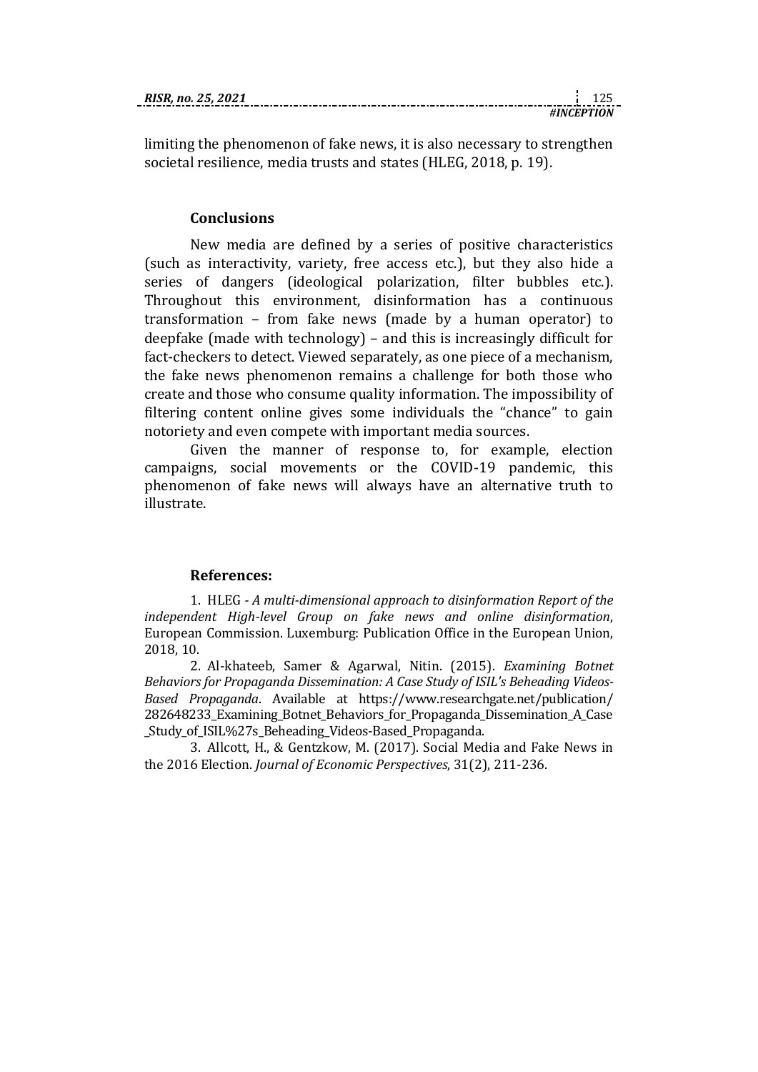limiting the phenomenon of fake news, it is also necessary to strengthen societal resilience, media trusts and states (HLEG, 2018, p. 19).

## **Conclusions**

New media are defined by a series of positive characteristics (such as interactivity, variety, free access etc.), but they also hide a series of dangers (ideological polarization, filter bubbles etc.). Throughout this environment, disinformation has a continuous transformation – from fake news (made by a human operator) to deepfake (made with technology) – and this is increasingly difficult for fact-checkers to detect. Viewed separately, as one piece of a mechanism, the fake news phenomenon remains a challenge for both those who create and those who consume quality information. The impossibility of filtering content online gives some individuals the "chance" to gain notoriety and even compete with important media sources.

Given the manner of response to, for example, election campaigns, social movements or the COVID-19 pandemic, this phenomenon of fake news will always have an alternative truth to illustrate.

### **References:**

1. HLEG *- A multi-dimensional approach to disinformation Report of the independent High-level Group on fake news and online disinformation*, European Commission. Luxemburg: Publication Office in the European Union, 2018, 10.

2. Al-khateeb, Samer & Agarwal, Nitin. (2015). *Examining Botnet Behaviors for Propaganda Dissemination: A Case Study of ISIL's Beheading Videos-Based Propaganda*. Available at [https://www.researchgate.net/publication/](https://www.researchgate.net/publication/282648233_Examining_Botnet_Behaviors_for_Propaganda_Dissemination_A_Case_Study_of_ISIL%27s_Beheading_Videos-Based_Propaganda) [282648233\\_Examining\\_Botnet\\_Behaviors\\_for\\_Propaganda\\_Dissemination\\_A\\_Case](https://www.researchgate.net/publication/282648233_Examining_Botnet_Behaviors_for_Propaganda_Dissemination_A_Case_Study_of_ISIL%27s_Beheading_Videos-Based_Propaganda) [\\_Study\\_of\\_ISIL%27s\\_Beheading\\_Videos-Based\\_Propaganda.](https://www.researchgate.net/publication/282648233_Examining_Botnet_Behaviors_for_Propaganda_Dissemination_A_Case_Study_of_ISIL%27s_Beheading_Videos-Based_Propaganda)

3. Allcott, H., & Gentzkow, M. (2017). Social Media and Fake News in the 2016 Election. *Journal of Economic Perspectives*, 31(2), 211-236.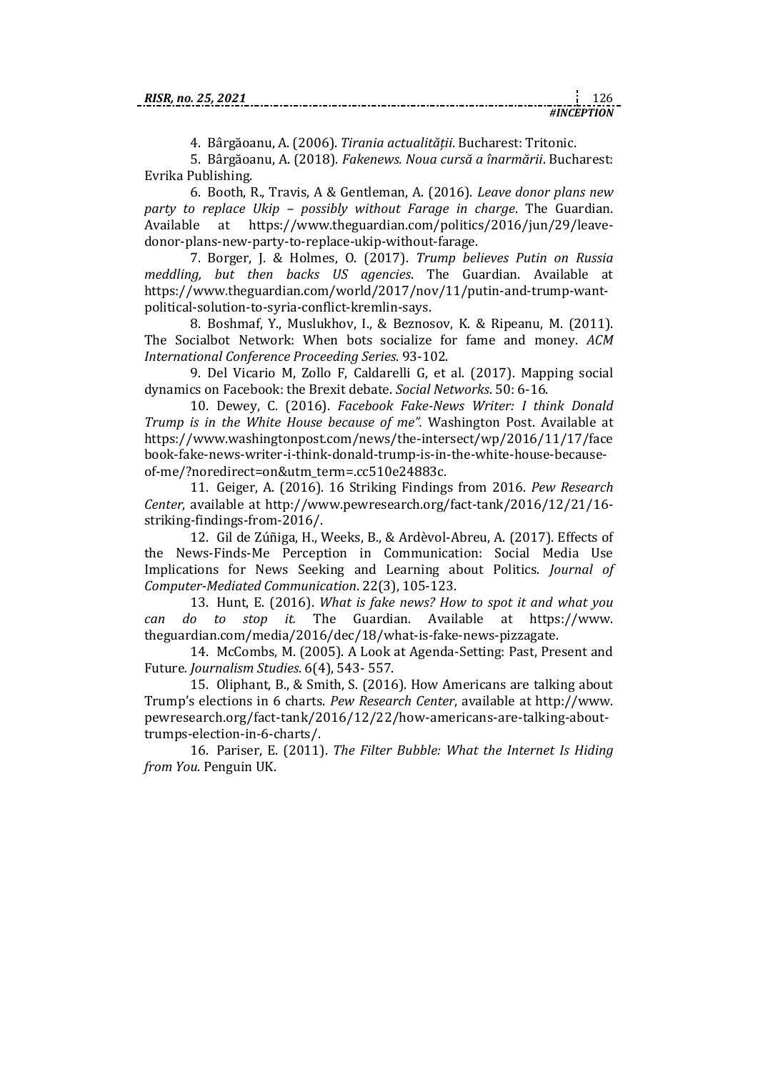4. Bârgăoanu, A. (2006). *Tirania actualitătii*. Bucharest: Tritonic.

5. Bârgăoanu, A. (2018). *Fakenews. Noua curs a înarm rii*. Bucharest: Evrika Publishing.

6. Booth, R., Travis, A & Gentleman, A. (2016). *Leave donor plans new party to replace Ukip – possibly without Farage in charge*. The Guardian. Available at [https://www.theguardian.com/politics/2016/jun/29/leave](https://www.theguardian.com/politics/2016/jun/29/leave-donor-plans-new-party-to-replace-ukip-without-farage)[donor-plans-new-party-to-replace-ukip-without-farage.](https://www.theguardian.com/politics/2016/jun/29/leave-donor-plans-new-party-to-replace-ukip-without-farage)

7. Borger, J. & Holmes, O. (2017). *Trump believes Putin on Russia meddling, but then backs US agencies*. The Guardian. Available at [https://www.theguardian.com/world/2017/nov/11/putin-and-trump-want](https://www.theguardian.com/world/2017/nov/11/putin-and-trump-want-political-solution-to-syria-conflict-kremlin-says)[political-solution-to-syria-conflict-kremlin-says.](https://www.theguardian.com/world/2017/nov/11/putin-and-trump-want-political-solution-to-syria-conflict-kremlin-says)

8. Boshmaf, Y., Muslukhov, I., & Beznosov, K. & Ripeanu, M. (2011). The Socialbot Network: When bots socialize for fame and money. *ACM International Conference Proceeding Series*. 93-102.

9. Del Vicario M, Zollo F, Caldarelli G, et al. (2017). Mapping social dynamics on Facebook: the Brexit debate. *Social Networks*. 50: 6-16.

10. Dewey, C. (2016). *Facebook Fake-News Writer: I think Donald Trump is in the White House because of me".* Washington Post. Available at [https://www.washingtonpost.com/news/the-intersect/wp/2016/11/17/face](https://www.washingtonpost.com/news/the-intersect/wp/2016/11/17/facebook-fake-news-writer-i-think-donald-trump-is-in-the-white-house-because-of-me/?noredirect=on&utm_term=.cc510e24883c) [book-fake-news-writer-i-think-donald-trump-is-in-the-white-house-because](https://www.washingtonpost.com/news/the-intersect/wp/2016/11/17/facebook-fake-news-writer-i-think-donald-trump-is-in-the-white-house-because-of-me/?noredirect=on&utm_term=.cc510e24883c)[of-me/?noredirect=on&utm\\_term=.cc510e24883c.](https://www.washingtonpost.com/news/the-intersect/wp/2016/11/17/facebook-fake-news-writer-i-think-donald-trump-is-in-the-white-house-because-of-me/?noredirect=on&utm_term=.cc510e24883c)

11. Geiger, A. (2016). 16 Striking Findings from 2016. *Pew Research Center*, available at [http://www.pewresearch.org/fact-tank/2016/12/21/16](http://www.pewresearch.org/fact-tank/2016/12/21/16-striking-findings-from-2016/) [striking-findings-from-2016/.](http://www.pewresearch.org/fact-tank/2016/12/21/16-striking-findings-from-2016/)

12. Gil de Zúñiga, H., Weeks, B., & Ardèvol‐Abreu, A. (2017). Effects of the News-Finds-Me Perception in Communication: Social Media Use Implications for News Seeking and Learning about Politics. *Journal of Computer-Mediated Communication*. 22(3), 105-123.

13. Hunt, E. (2016). *What is fake news? How to spot it and what you can do to stop it.* The Guardian. Available at [https://www.](https://www.theguardian.com/media/2016/dec/18/what-is-fake-news-pizzagate) [theguardian.com/media/2016/dec/18/what-is-fake-news-pizzagate.](https://www.theguardian.com/media/2016/dec/18/what-is-fake-news-pizzagate)

14. McCombs, M. (2005). A Look at Agenda-Setting: Past, Present and Future*. Journalism Studies*. 6(4), 543- 557.

15. Oliphant, B., & Smith, S. (2016). How Americans are talking about Trump's elections in 6 charts. *Pew Research Center*, available at [http://www.](http://www.pewresearch.org/fact-tank/2016/12/22/how-americans-are-talking-about-trumps-election-in-6-charts/) [pewresearch.org/fact-tank/2016/12/22/how-americans-are-talking-about](http://www.pewresearch.org/fact-tank/2016/12/22/how-americans-are-talking-about-trumps-election-in-6-charts/)[trumps-election-in-6-charts/.](http://www.pewresearch.org/fact-tank/2016/12/22/how-americans-are-talking-about-trumps-election-in-6-charts/)

16. Pariser, E. (2011). *The Filter Bubble: What the Internet Is Hiding from You*. Penguin UK.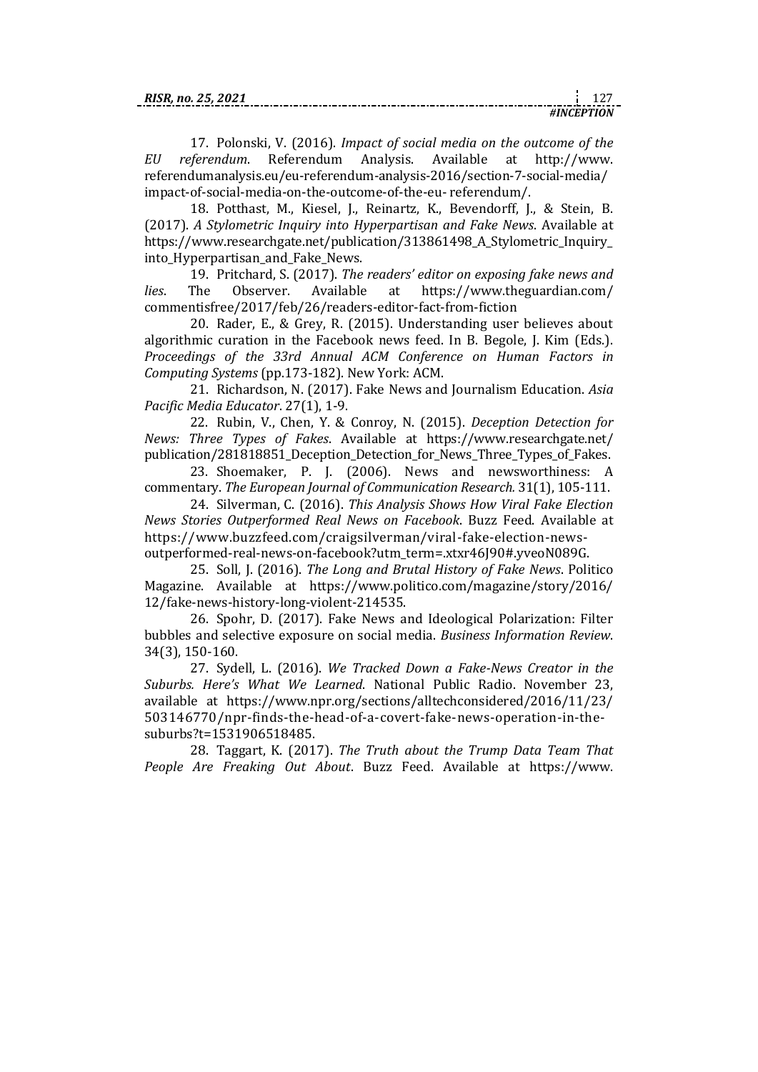17. Polonski, V. (2016). *Impact of social media on the outcome of the EU referendum*. Referendum Analysis. Available at http://www. referendumanalysis.eu/eu-referendum-analysis-2016/section-7-social-media/ impact-of-social-media-on-the-outcome-of-the-eu- referendum/.

18. Potthast, M., Kiesel, J., Reinartz, K., Bevendorff, J., & Stein, B. (2017). *A Stylometric Inquiry into Hyperpartisan and Fake News*. Available at https://www.researchgate.net/publication/313861498\_A\_Stylometric\_Inquiry\_ into\_Hyperpartisan\_and\_Fake\_News.

19. Pritchard, S. (2017). *The readers' editor on exposing fake news and lies*. The Observer. Available at [https://www.theguardian.com/](https://www.theguardian.com/commentisfree/2017/feb/26/readers-editor-fact-from-fiction) [commentisfree/2017/feb/26/readers-editor-fact-from-fiction](https://www.theguardian.com/commentisfree/2017/feb/26/readers-editor-fact-from-fiction)

20. Rader, E., & Grey, R. (2015). Understanding user believes about algorithmic curation in the Facebook news feed. In B. Begole, J. Kim (Eds.). *Proceedings of the 33rd Annual ACM Conference on Human Factors in Computing Systems* (pp.173-182). New York: ACM.

21. Richardson, N. (2017). Fake News and Journalism Education. *Asia Pacific Media Educator*. 27(1), 1-9.

22. Rubin, V., Chen, Y. & Conroy, N. (2015). *Deception Detection for News: Three Types of Fakes*. Available at [https://www.researchgate.net/](https://www.researchgate.net/publication/281818851_Deception_Detection_for_News_Three_Types_of_Fakes) publication/281818851 Deception Detection for News Three Types of Fakes.

23. Shoemaker, P. J. (2006). News and newsworthiness: A commentary. *The European Journal of Communication Research.* 31(1), 105-111.

24. Silverman, C. (2016). *This Analysis Shows How Viral Fake Election News Stories Outperformed Real News on Facebook*. Buzz Feed. Available at [https://www.buzzfeed.com/craigsilverman/viral-fake-election-news](https://www.buzzfeed.com/craigsilverman/viral-fake-election-news-outperformed-real-news-on-facebook?utm_term=.xtxr46J90#.yveoN089G)[outperformed-real-news-on-facebook?utm\\_term=.xtxr46J90#.yveoN089G.](https://www.buzzfeed.com/craigsilverman/viral-fake-election-news-outperformed-real-news-on-facebook?utm_term=.xtxr46J90#.yveoN089G)

25. Soll, J. (2016). *The Long and Brutal History of Fake News*. Politico Magazine. Available at [https://www.politico.com/magazine/story/2016/](https://www.politico.com/magazine/story/2016/12/fake-news-history-long-violent-214535) [12/fake-news-history-long-violent-214535.](https://www.politico.com/magazine/story/2016/12/fake-news-history-long-violent-214535)

26. Spohr, D. (2017). Fake News and Ideological Polarization: Filter bubbles and selective exposure on social media. *Business Information Review*. 34(3), 150-160.

27. Sydell, L. (2016). *We Tracked Down a Fake-News Creator in the Suburbs. Here's What We Learned*. National Public Radio. November 23, available at [https://www.npr.org/sections/alltechconsidered/2016/11/23/](https://www.npr.org/sections/alltechconsidered/2016/11/23/503146770/npr-finds-the-head-of-a-covert-fake-news-operation-in-the-suburbs?t=1531906518485) [503146770/npr-finds-the-head-of-a-covert-fake-news-operation-in-the](https://www.npr.org/sections/alltechconsidered/2016/11/23/503146770/npr-finds-the-head-of-a-covert-fake-news-operation-in-the-suburbs?t=1531906518485)[suburbs?t=1531906518485.](https://www.npr.org/sections/alltechconsidered/2016/11/23/503146770/npr-finds-the-head-of-a-covert-fake-news-operation-in-the-suburbs?t=1531906518485)

28. Taggart, K. (2017). *The Truth about the Trump Data Team That People Are Freaking Out About*. Buzz Feed. Available at [https://www.](https://www.buzzfeednews.com/article/kendalltaggart/the-truth-about-the-trump-data-team-that-people-are-freaking)